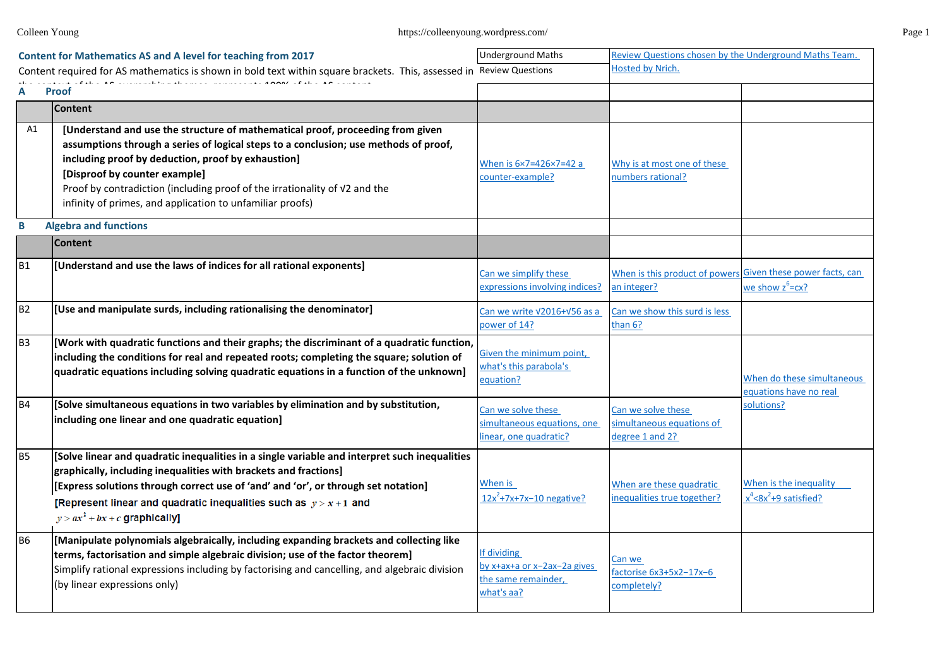|                | <b>Content for Mathematics AS and A level for teaching from 2017</b>                                                                                                                                                                                                                                                                                                                                     | <b>Underground Maths</b>                                                       | Review Questions chosen by the Underground Maths Team.                     |                                                                |
|----------------|----------------------------------------------------------------------------------------------------------------------------------------------------------------------------------------------------------------------------------------------------------------------------------------------------------------------------------------------------------------------------------------------------------|--------------------------------------------------------------------------------|----------------------------------------------------------------------------|----------------------------------------------------------------|
|                | Content required for AS mathematics is shown in bold text within square brackets. This, assessed in Review Questions                                                                                                                                                                                                                                                                                     |                                                                                | Hosted by Nrich.                                                           |                                                                |
| Α              | <b>Proof</b>                                                                                                                                                                                                                                                                                                                                                                                             |                                                                                |                                                                            |                                                                |
|                | <b>Content</b>                                                                                                                                                                                                                                                                                                                                                                                           |                                                                                |                                                                            |                                                                |
| A1             | [Understand and use the structure of mathematical proof, proceeding from given<br>assumptions through a series of logical steps to a conclusion; use methods of proof,<br>including proof by deduction, proof by exhaustion]<br>[Disproof by counter example]<br>Proof by contradiction (including proof of the irrationality of V2 and the<br>infinity of primes, and application to unfamiliar proofs) | When is 6×7=426×7=42 a<br>counter-example?                                     | Why is at most one of these<br>numbers rational?                           |                                                                |
| B              | <b>Algebra and functions</b>                                                                                                                                                                                                                                                                                                                                                                             |                                                                                |                                                                            |                                                                |
|                | <b>Content</b>                                                                                                                                                                                                                                                                                                                                                                                           |                                                                                |                                                                            |                                                                |
| <b>B1</b>      | [Understand and use the laws of indices for all rational exponents]                                                                                                                                                                                                                                                                                                                                      | Can we simplify these<br>expressions involving indices?                        | When is this product of powers Given these power facts, can<br>an integer? | we show $z^6$ = $cx$ ?                                         |
| <b>B2</b>      | [Use and manipulate surds, including rationalising the denominator]                                                                                                                                                                                                                                                                                                                                      | Can we write V2016+V56 as a<br>power of 14?                                    | Can we show this surd is less<br>than 6?                                   |                                                                |
| B <sub>3</sub> | [Work with quadratic functions and their graphs; the discriminant of a quadratic function,<br>including the conditions for real and repeated roots; completing the square; solution of<br>quadratic equations including solving quadratic equations in a function of the unknown]                                                                                                                        | Given the minimum point,<br>what's this parabola's<br>equation?                |                                                                            | When do these simultaneous<br>equations have no real           |
| <b>B4</b>      | [Solve simultaneous equations in two variables by elimination and by substitution,<br>including one linear and one quadratic equation]                                                                                                                                                                                                                                                                   | Can we solve these<br>simultaneous equations, one<br>inear, one quadratic?     | Can we solve these<br>simultaneous equations of<br>degree 1 and 2?         | solutions?                                                     |
| <b>B5</b>      | [Solve linear and quadratic inequalities in a single variable and interpret such inequalities<br>graphically, including inequalities with brackets and fractions]<br>[Express solutions through correct use of 'and' and 'or', or through set notation]<br>[Represent linear and quadratic inequalities such as $y > x + 1$ and<br>$y > ax^2 + bx + c$ graphically]                                      | When is<br>$12x^2+7x+7x-10$ negative?                                          | When are these quadratic<br>nequalities true together?                     | When is the inequality<br>$x^4$ <8x <sup>2</sup> +9 satisfied? |
| <b>B6</b>      | [Manipulate polynomials algebraically, including expanding brackets and collecting like<br>terms, factorisation and simple algebraic division; use of the factor theorem]<br>Simplify rational expressions including by factorising and cancelling, and algebraic division<br>(by linear expressions only)                                                                                               | f dividing<br>oy x+ax+a or x-2ax-2a gives<br>the same remainder,<br>what's aa? | Can we<br>factorise 6x3+5x2-17x-6<br>completely?                           |                                                                |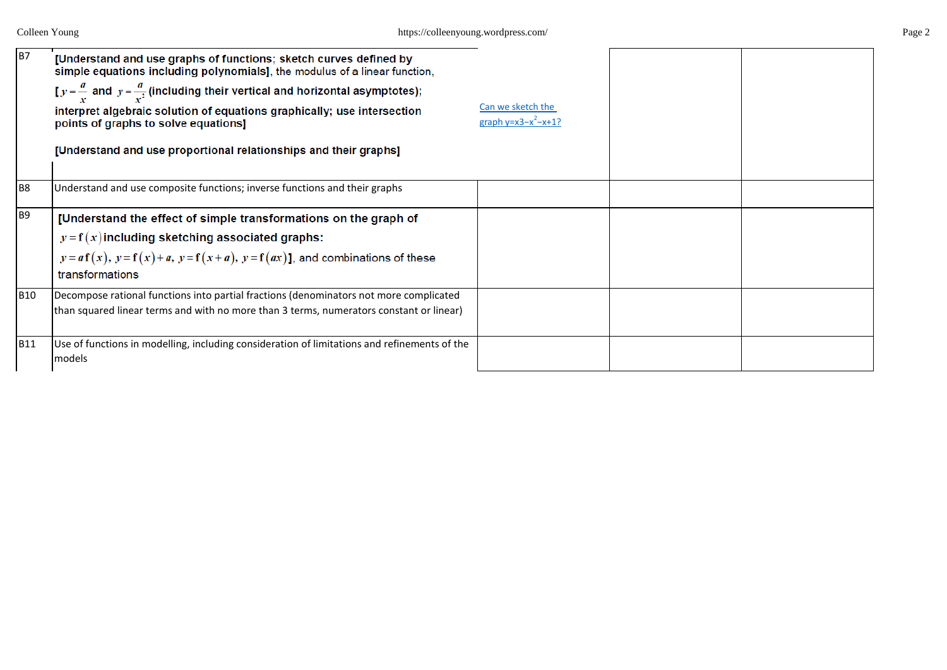| <b>B7</b>      | [Understand and use graphs of functions; sketch curves defined by<br>simple equations including polynomials], the modulus of a linear function,<br>$[y = \frac{a}{x}]$ and $y = \frac{a}{x^2}$ (including their vertical and horizontal asymptotes);<br>interpret algebraic solution of equations graphically; use intersection<br>points of graphs to solve equations]<br>[Understand and use proportional relationships and their graphs] | Can we sketch the<br>graph $y=x3-x^2-x+1$ ? |  |
|----------------|---------------------------------------------------------------------------------------------------------------------------------------------------------------------------------------------------------------------------------------------------------------------------------------------------------------------------------------------------------------------------------------------------------------------------------------------|---------------------------------------------|--|
|                |                                                                                                                                                                                                                                                                                                                                                                                                                                             |                                             |  |
| B <sub>8</sub> | Understand and use composite functions; inverse functions and their graphs                                                                                                                                                                                                                                                                                                                                                                  |                                             |  |
| <b>B9</b>      | [Understand the effect of simple transformations on the graph of<br>$y = f(x)$ including sketching associated graphs:<br>$y = af(x), y = f(x) + a, y = f(x + a), y = f(ax)$ ], and combinations of these<br>transformations                                                                                                                                                                                                                 |                                             |  |
| <b>B10</b>     | Decompose rational functions into partial fractions (denominators not more complicated<br>than squared linear terms and with no more than 3 terms, numerators constant or linear)                                                                                                                                                                                                                                                           |                                             |  |
| <b>B11</b>     | Use of functions in modelling, including consideration of limitations and refinements of the<br>models                                                                                                                                                                                                                                                                                                                                      |                                             |  |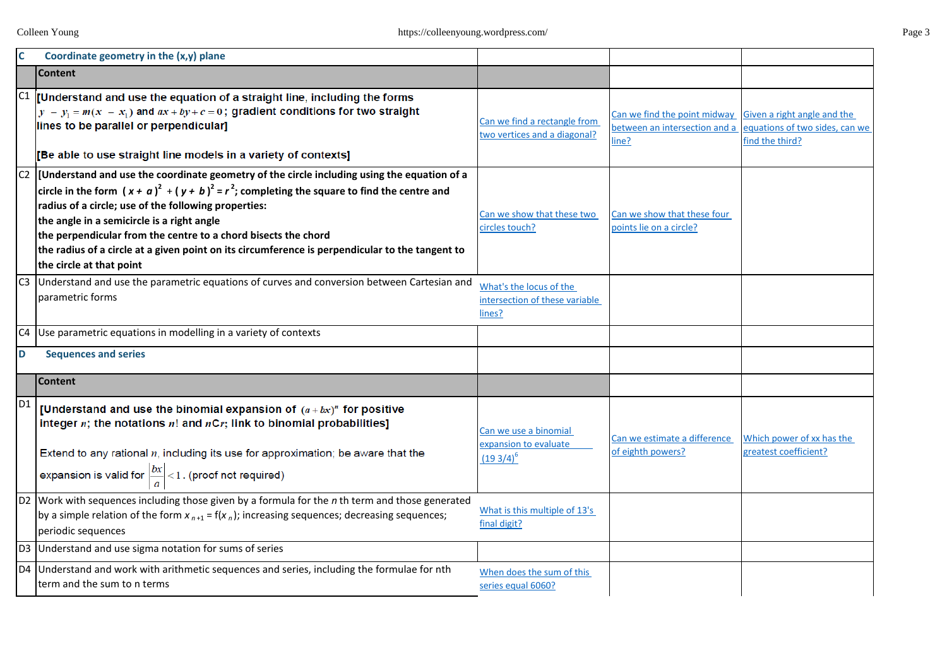| C              | Coordinate geometry in the (x,y) plane                                                                                                                                                                                                                                                                                                                                                                 |                                                                     |                                                                        |                                                                                  |
|----------------|--------------------------------------------------------------------------------------------------------------------------------------------------------------------------------------------------------------------------------------------------------------------------------------------------------------------------------------------------------------------------------------------------------|---------------------------------------------------------------------|------------------------------------------------------------------------|----------------------------------------------------------------------------------|
|                | <b>Content</b>                                                                                                                                                                                                                                                                                                                                                                                         |                                                                     |                                                                        |                                                                                  |
|                | $ C1 $ [Understand and use the equation of a straight line, including the forms<br>$y - y_1 = m(x - x_1)$ and $ax + by + c = 0$ ; gradient conditions for two straight<br>lines to be parallel or perpendicular]<br>[Be able to use straight line models in a variety of contexts]                                                                                                                     | Can we find a rectangle from<br>two vertices and a diagonal?        | Can we find the point midway<br>between an intersection and a<br>line? | Given a right angle and the<br>equations of two sides, can we<br>find the third? |
|                | $ C2 $ [Understand and use the coordinate geometry of the circle including using the equation of a                                                                                                                                                                                                                                                                                                     |                                                                     |                                                                        |                                                                                  |
|                | circle in the form $(x + a)^2 + (y + b)^2 = r^2$ ; completing the square to find the centre and<br>radius of a circle; use of the following properties:<br>the angle in a semicircle is a right angle<br>the perpendicular from the centre to a chord bisects the chord<br>the radius of a circle at a given point on its circumference is perpendicular to the tangent to<br>the circle at that point | Can we show that these two<br>circles touch?                        | Can we show that these four<br>points lie on a circle?                 |                                                                                  |
|                | Understand and use the parametric equations of curves and conversion between Cartesian and<br>parametric forms                                                                                                                                                                                                                                                                                         | What's the locus of the<br>intersection of these variable<br>lines? |                                                                        |                                                                                  |
| C <sub>4</sub> | Use parametric equations in modelling in a variety of contexts                                                                                                                                                                                                                                                                                                                                         |                                                                     |                                                                        |                                                                                  |
| D              | <b>Sequences and series</b>                                                                                                                                                                                                                                                                                                                                                                            |                                                                     |                                                                        |                                                                                  |
|                | <b>Content</b>                                                                                                                                                                                                                                                                                                                                                                                         |                                                                     |                                                                        |                                                                                  |
| D <sub>1</sub> | [Understand and use the binomial expansion of $(a + bx)^n$ for positive<br>integer $n$ ; the notations $n!$ and $nCr$ ; link to binomial probabilities]<br>Extend to any rational $n$ , including its use for approximation; be aware that the<br>expansion is valid for $\left \frac{bx}{a}\right  < 1$ . (proof not required)                                                                        | Can we use a binomial<br>expansion to evaluate<br>$(193/4)^6$       | Can we estimate a difference<br>of eighth powers?                      | Which power of xx has the<br>greatest coefficient?                               |
|                | D2 Work with sequences including those given by a formula for the n th term and those generated<br>by a simple relation of the form $x_{n+1} = f(x_n)$ ; increasing sequences; decreasing sequences;<br>periodic sequences                                                                                                                                                                             | What is this multiple of 13's<br>final digit?                       |                                                                        |                                                                                  |
|                | D3 Understand and use sigma notation for sums of series                                                                                                                                                                                                                                                                                                                                                |                                                                     |                                                                        |                                                                                  |
|                | D4 Understand and work with arithmetic sequences and series, including the formulae for nth<br>term and the sum to n terms                                                                                                                                                                                                                                                                             | When does the sum of this<br>series equal 6060?                     |                                                                        |                                                                                  |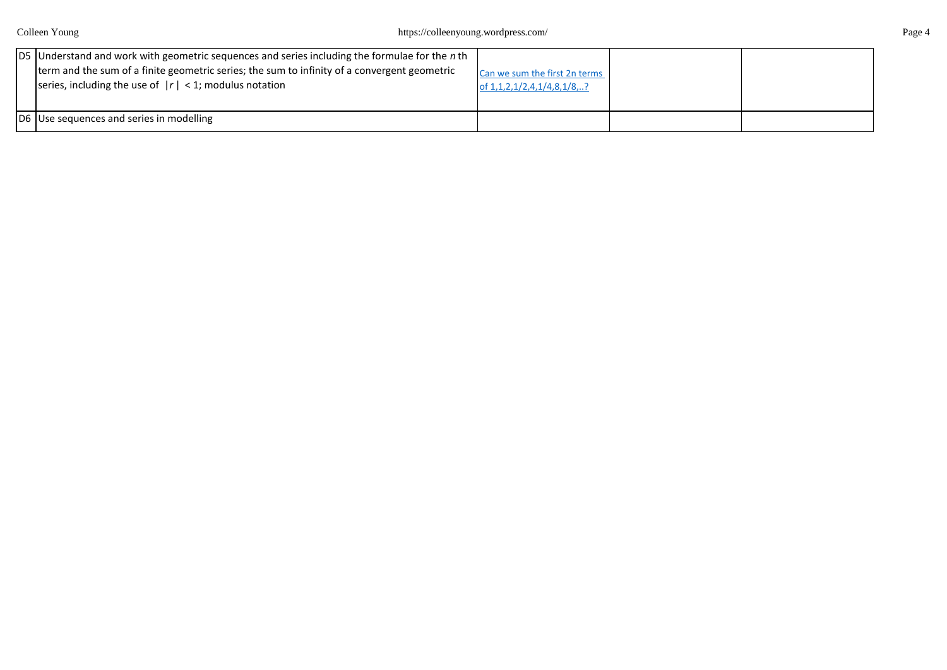| D5 Understand and work with geometric sequences and series including the formulae for the n th<br>term and the sum of a finite geometric series; the sum to infinity of a convergent geometric<br>series, including the use of $ r  < 1$ ; modulus notation | Can we sum the first 2n terms<br>of 1, 1, 2, 1/2, 4, 1/4, 8, 1/8, ? |  |
|-------------------------------------------------------------------------------------------------------------------------------------------------------------------------------------------------------------------------------------------------------------|---------------------------------------------------------------------|--|
| D6 Use sequences and series in modelling                                                                                                                                                                                                                    |                                                                     |  |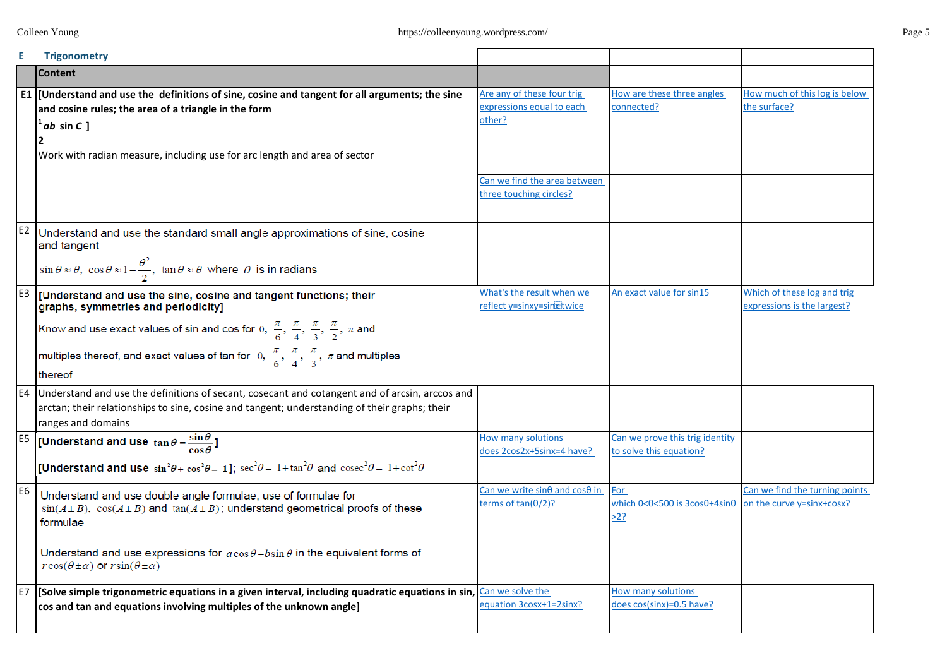|                | <b>Trigonometry</b>                                                                                                                                                                                                      |                                                                             |                                                                           |                                                             |
|----------------|--------------------------------------------------------------------------------------------------------------------------------------------------------------------------------------------------------------------------|-----------------------------------------------------------------------------|---------------------------------------------------------------------------|-------------------------------------------------------------|
|                | <b>Content</b>                                                                                                                                                                                                           |                                                                             |                                                                           |                                                             |
|                | $E1$ [Understand and use the definitions of sine, cosine and tangent for all arguments; the sine<br>and cosine rules; the area of a triangle in the form<br>$tan C$ ]                                                    | Are any of these four trig<br>expressions equal to each<br>other?           | How are these three angles<br>connected?                                  | How much of this log is below<br>the surface?               |
|                | Work with radian measure, including use for arc length and area of sector                                                                                                                                                |                                                                             |                                                                           |                                                             |
|                |                                                                                                                                                                                                                          | Can we find the area between<br>three touching circles?                     |                                                                           |                                                             |
|                | $E2$ Understand and use the standard small angle approximations of sine, cosine<br>and tangent                                                                                                                           |                                                                             |                                                                           |                                                             |
|                | $\sin \theta \approx \theta$ , $\cos \theta \approx 1 - \frac{\theta^2}{2}$ , $\tan \theta \approx \theta$ where $\theta$ is in radians                                                                                  |                                                                             |                                                                           |                                                             |
|                | $E3$ [Understand and use the sine, cosine and tangent functions; their<br>graphs, symmetries and periodicity]                                                                                                            | What's the result when we<br>reflect y=sinxy=sinxtwice                      | An exact value for sin15                                                  | Which of these log and trig<br>expressions is the largest?  |
|                | Know and use exact values of sin and cos for 0, $\frac{\pi}{6}, \frac{\pi}{4}, \frac{\pi}{3}, \frac{\pi}{2}, \pi$ and                                                                                                    |                                                                             |                                                                           |                                                             |
|                | multiples thereof, and exact values of tan for 0, $\frac{\pi}{6}, \frac{\pi}{4}, \frac{\pi}{3}, \pi$ and multiples                                                                                                       |                                                                             |                                                                           |                                                             |
|                | thereof                                                                                                                                                                                                                  |                                                                             |                                                                           |                                                             |
|                | E4 Understand and use the definitions of secant, cosecant and cotangent and of arcsin, arccos and<br>arctan; their relationships to sine, cosine and tangent; understanding of their graphs; their<br>ranges and domains |                                                                             |                                                                           |                                                             |
|                | [Understand and use $\tan \theta = \frac{\sin \theta}{\cos \theta}$ ]                                                                                                                                                    | How many solutions<br>does 2cos2x+5sinx=4 have?                             | Can we prove this trig identity<br>to solve this equation?                |                                                             |
|                | <b>[Understand and use</b> $\sin^2\theta + \cos^2\theta = 1$ ]; $\sec^2\theta = 1 + \tan^2\theta$ and $\csc^2\theta = 1 + \cot^2\theta$                                                                                  |                                                                             |                                                                           |                                                             |
| E <sub>6</sub> | Understand and use double angle formulae; use of formulae for<br>$sin(A \pm B)$ , $cos(A \pm B)$ and $tan(A \pm B)$ ; understand geometrical proofs of these<br>formulae                                                 | Can we write sin $\theta$ and cos $\theta$ in<br>terms of $tan(\theta/2)$ ? | For<br>which $0 < \theta < 500$ is $3 \cos \theta + 4 \sin \theta$<br>>2? | Can we find the turning points<br>on the curve y=sinx+cosx? |
|                | Understand and use expressions for $a\cos\theta + b\sin\theta$ in the equivalent forms of<br>$r\cos(\theta \pm \alpha)$ or $r\sin(\theta \pm \alpha)$                                                                    |                                                                             |                                                                           |                                                             |
|                | $\mathsf{E7}$ [Solve simple trigonometric equations in a given interval, including quadratic equations in sin,<br>cos and tan and equations involving multiples of the unknown angle]                                    | Can we solve the<br>equation 3cosx+1=2sinx?                                 | How many solutions<br>does cos(sinx)=0.5 have?                            |                                                             |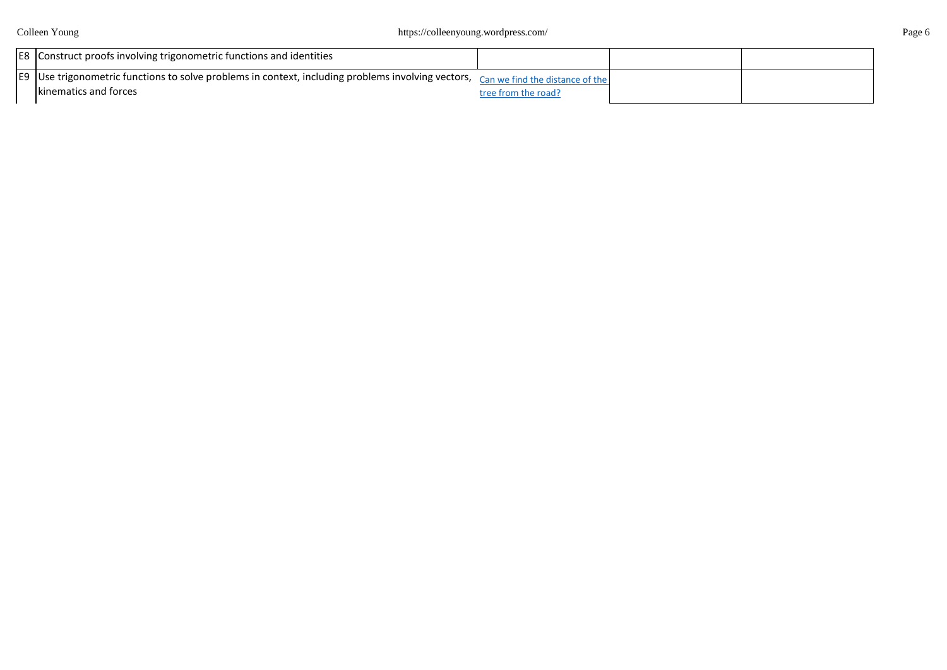Colleen Young https://colleenyoung.wordpress.com/ Page 6

| E8 Construct proofs involving trigonometric functions and identities                                                               |                     |  |
|------------------------------------------------------------------------------------------------------------------------------------|---------------------|--|
| E9 Use trigonometric functions to solve problems in context, including problems involving vectors, can we find the distance of the |                     |  |
| Ikinematics and forces                                                                                                             | tree from the road? |  |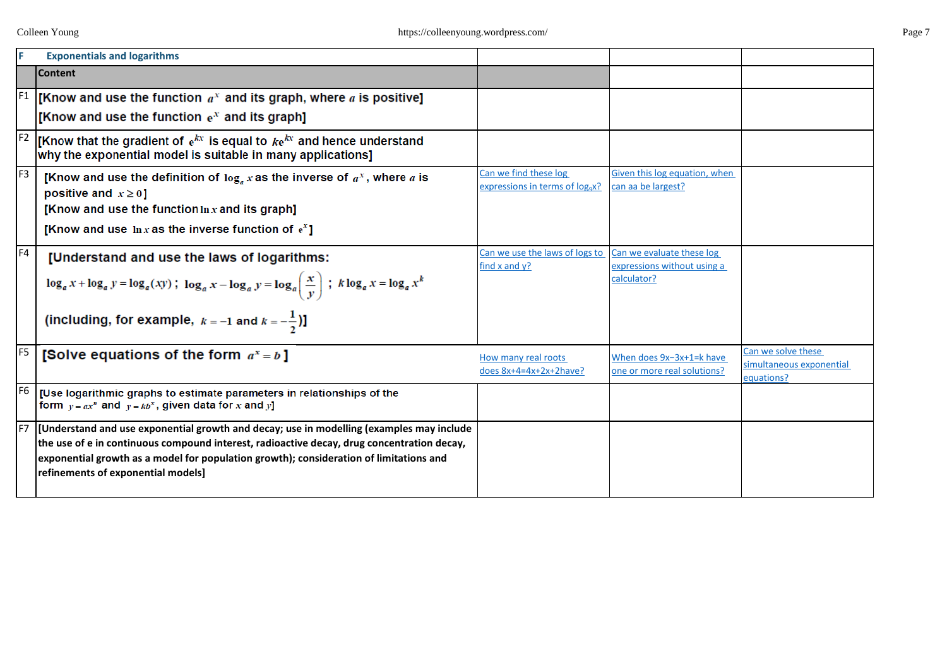|                | <b>Exponentials and logarithms</b>                                                                                                            |                                                      |                                            |                                        |
|----------------|-----------------------------------------------------------------------------------------------------------------------------------------------|------------------------------------------------------|--------------------------------------------|----------------------------------------|
|                | <b>Content</b>                                                                                                                                |                                                      |                                            |                                        |
|                | [Know and use the function $a^x$ and its graph, where a is positive]                                                                          |                                                      |                                            |                                        |
|                | [Know and use the function $e^x$ and its graph]                                                                                               |                                                      |                                            |                                        |
| F <sub>2</sub> | [Know that the gradient of $e^{kx}$ is equal to $ke^{kx}$ and hence understand<br>why the exponential model is suitable in many applications] |                                                      |                                            |                                        |
| F <sub>3</sub> | [Know and use the definition of $\log_a x$ as the inverse of $a^x$ , where a is                                                               | Can we find these log                                | Given this log equation, when              |                                        |
|                | positive and $x \ge 0$ ]                                                                                                                      | expressions in terms of log <sub>9</sub> x?          | can aa be largest?                         |                                        |
|                | [Know and use the function $\ln x$ and its graph]                                                                                             |                                                      |                                            |                                        |
|                | [Know and use $\ln x$ as the inverse function of $e^x$ ]                                                                                      |                                                      |                                            |                                        |
| F4             | [Understand and use the laws of logarithms:                                                                                                   | Can we use the laws of logs to<br>find $x$ and $y$ ? | Can we evaluate these log                  |                                        |
|                | $\log_a x + \log_a y = \log_a(xy)$ ; $\log_a x - \log_a y = \log_a \left(\frac{x}{y}\right)$ ; $k \log_a x = \log_a x^k$                      |                                                      | expressions without using a<br>calculator? |                                        |
|                | (including, for example, $k = -1$ and $k = -\frac{1}{2}$ )                                                                                    |                                                      |                                            |                                        |
| F <sub>5</sub> | [Solve equations of the form $a^x = b$ ]                                                                                                      | How many real roots                                  | When does 9x-3x+1=k have                   | Can we solve these                     |
|                |                                                                                                                                               | does $8x+4=4x+2x+2$ have?                            | one or more real solutions?                | simultaneous exponential<br>equations? |
| F <sub>6</sub> | [Use logarithmic graphs to estimate parameters in relationships of the<br>form $y = ax^n$ and $y = kb^x$ , given data for x and y]            |                                                      |                                            |                                        |
| IF7            | [Understand and use exponential growth and decay; use in modelling (examples may include                                                      |                                                      |                                            |                                        |
|                | the use of e in continuous compound interest, radioactive decay, drug concentration decay,                                                    |                                                      |                                            |                                        |
|                | exponential growth as a model for population growth); consideration of limitations and<br>refinements of exponential models]                  |                                                      |                                            |                                        |
|                |                                                                                                                                               |                                                      |                                            |                                        |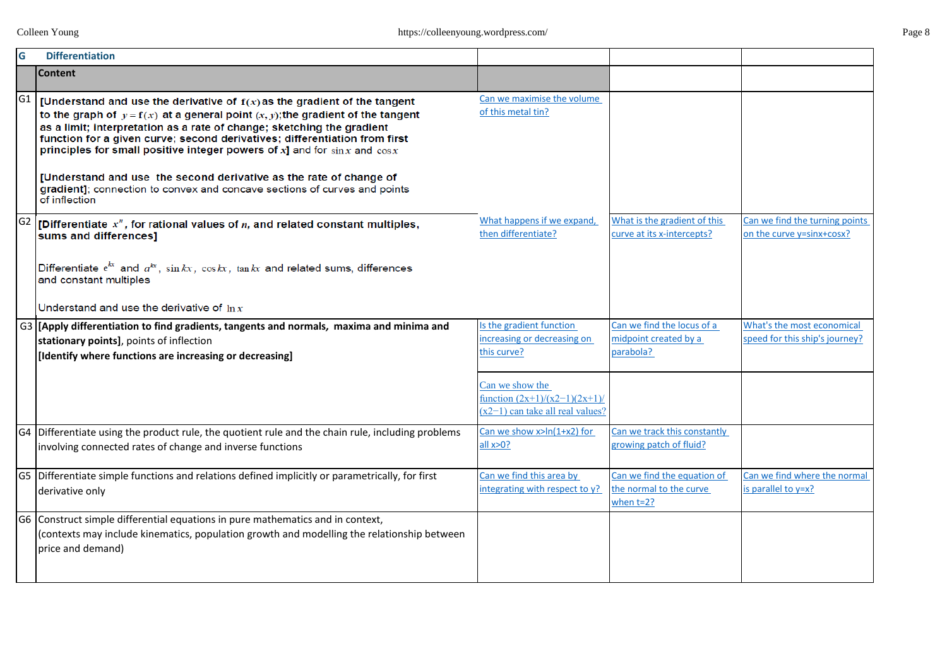| G              | <b>Differentiation</b>                                                                                                                                                                                                                                                                                                                                                                                                               |                                                                                         |                                                                        |                                                                     |
|----------------|--------------------------------------------------------------------------------------------------------------------------------------------------------------------------------------------------------------------------------------------------------------------------------------------------------------------------------------------------------------------------------------------------------------------------------------|-----------------------------------------------------------------------------------------|------------------------------------------------------------------------|---------------------------------------------------------------------|
|                | <b>Content</b>                                                                                                                                                                                                                                                                                                                                                                                                                       |                                                                                         |                                                                        |                                                                     |
| G <sub>1</sub> | <b>[Understand and use the derivative of <math>f(x)</math> as the gradient of the tangent</b><br>to the graph of $y = f(x)$ at a general point $(x, y)$ ; the gradient of the tangent<br>as a limit; interpretation as a rate of change; sketching the gradient<br>function for a given curve; second derivatives; differentiation from first<br>principles for small positive integer powers of $x$ ] and for $\sin x$ and $\cos x$ | Can we maximise the volume<br>of this metal tin?                                        |                                                                        |                                                                     |
|                | [Understand and use the second derivative as the rate of change of<br>gradient]; connection to convex and concave sections of curves and points<br>of inflection                                                                                                                                                                                                                                                                     |                                                                                         |                                                                        |                                                                     |
|                | $ \mathsf{G2}\>$ [Differentiate $x^{\prime\prime}$ , for rational values of $n$ , and related constant multiples,<br>sums and differences]                                                                                                                                                                                                                                                                                           | What happens if we expand,<br>then differentiate?                                       | What is the gradient of this<br>curve at its x-intercepts?             | Can we find the turning points<br>on the curve y=sinx+cosx?         |
|                | Differentiate $e^{kx}$ and $a^{kx}$ , $\sin kx$ , $\cos kx$ , $\tan kx$ and related sums, differences<br>and constant multiples                                                                                                                                                                                                                                                                                                      |                                                                                         |                                                                        |                                                                     |
|                | Understand and use the derivative of $\ln x$                                                                                                                                                                                                                                                                                                                                                                                         |                                                                                         |                                                                        |                                                                     |
|                | G3 [[Apply differentiation to find gradients, tangents and normals, maxima and minima and<br>stationary points], points of inflection<br>[Identify where functions are increasing or decreasing]                                                                                                                                                                                                                                     | Is the gradient function<br>increasing or decreasing on<br>this curve?                  | Can we find the locus of a<br>midpoint created by a<br>parabola?       | <b>What's the most economical</b><br>speed for this ship's journey? |
|                |                                                                                                                                                                                                                                                                                                                                                                                                                                      | Can we show the<br>function $(2x+1)/(x2-1)(2x+1)$<br>$(x2-1)$ can take all real values? |                                                                        |                                                                     |
|                | G4 Differentiate using the product rule, the quotient rule and the chain rule, including problems<br>involving connected rates of change and inverse functions                                                                                                                                                                                                                                                                       | Can we show $x>ln(1+x2)$ for<br>all x > 0?                                              | Can we track this constantly<br>growing patch of fluid?                |                                                                     |
|                | G5 Differentiate simple functions and relations defined implicitly or parametrically, for first<br>derivative only                                                                                                                                                                                                                                                                                                                   | Can we find this area by<br>integrating with respect to y?                              | Can we find the equation of<br>the normal to the curve<br>when $t=2$ ? | Can we find where the normal<br>is parallel to y=x?                 |
|                | G6 Construct simple differential equations in pure mathematics and in context,<br>(contexts may include kinematics, population growth and modelling the relationship between<br>price and demand)                                                                                                                                                                                                                                    |                                                                                         |                                                                        |                                                                     |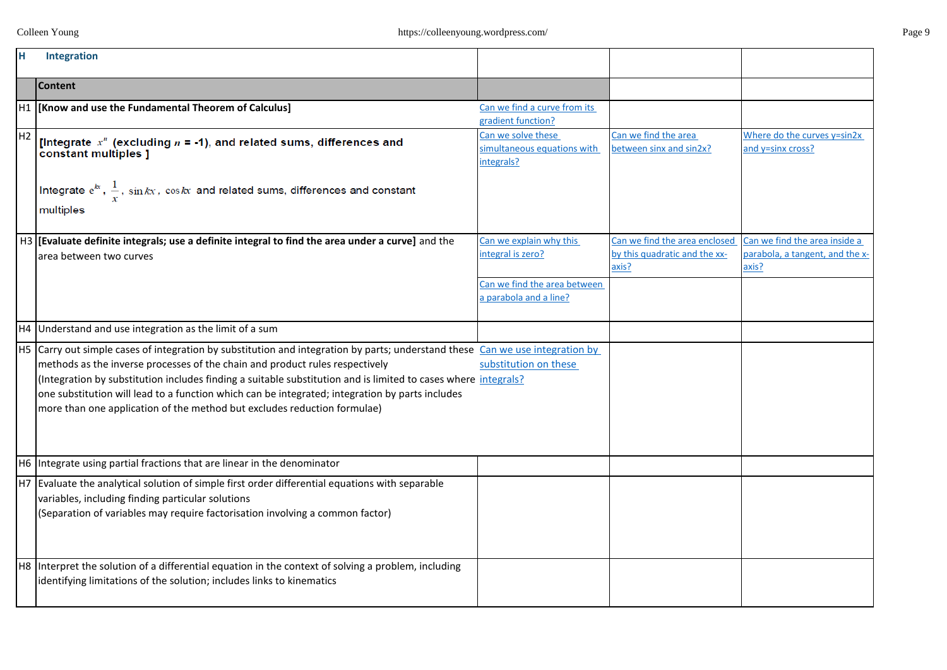| H              | Integration                                                                                                                                                                                                                                                                                                                                                                                                                                                                                                    |                                                                                                        |                                                                         |                                                                           |
|----------------|----------------------------------------------------------------------------------------------------------------------------------------------------------------------------------------------------------------------------------------------------------------------------------------------------------------------------------------------------------------------------------------------------------------------------------------------------------------------------------------------------------------|--------------------------------------------------------------------------------------------------------|-------------------------------------------------------------------------|---------------------------------------------------------------------------|
|                | <b>Content</b>                                                                                                                                                                                                                                                                                                                                                                                                                                                                                                 |                                                                                                        |                                                                         |                                                                           |
|                | H1  [Know and use the Fundamental Theorem of Calculus]                                                                                                                                                                                                                                                                                                                                                                                                                                                         | Can we find a curve from its<br>gradient function?                                                     |                                                                         |                                                                           |
| H <sub>2</sub> | [Integrate $x^n$ (excluding $n = -1$ ), and related sums, differences and<br>constant multiples ]                                                                                                                                                                                                                                                                                                                                                                                                              | Can we solve these<br>simultaneous equations with<br>integrals?                                        | Can we find the area<br>between sinx and sin2x?                         | Where do the curves y=sin2x<br>and y=sinx cross?                          |
|                | Integrate $e^{kx}$ , $\frac{1}{x}$ , sin $kx$ , coskx and related sums, differences and constant<br>multiples                                                                                                                                                                                                                                                                                                                                                                                                  |                                                                                                        |                                                                         |                                                                           |
|                | H3 [Evaluate definite integrals; use a definite integral to find the area under a curve] and the<br>area between two curves                                                                                                                                                                                                                                                                                                                                                                                    | Can we explain why this<br>integral is zero?<br>Can we find the area between<br>a parabola and a line? | Can we find the area enclosed<br>by this quadratic and the xx-<br>axis? | Can we find the area inside a<br>parabola, a tangent, and the x-<br>?axis |
|                | H4 Understand and use integration as the limit of a sum                                                                                                                                                                                                                                                                                                                                                                                                                                                        |                                                                                                        |                                                                         |                                                                           |
|                | H5 Carry out simple cases of integration by substitution and integration by parts; understand these Can we use integration by<br>methods as the inverse processes of the chain and product rules respectively<br>(Integration by substitution includes finding a suitable substitution and is limited to cases where integrals?<br>one substitution will lead to a function which can be integrated; integration by parts includes<br>more than one application of the method but excludes reduction formulae) | substitution on these                                                                                  |                                                                         |                                                                           |
|                | H6 Integrate using partial fractions that are linear in the denominator                                                                                                                                                                                                                                                                                                                                                                                                                                        |                                                                                                        |                                                                         |                                                                           |
|                | H7 Evaluate the analytical solution of simple first order differential equations with separable<br>variables, including finding particular solutions<br>(Separation of variables may require factorisation involving a common factor)                                                                                                                                                                                                                                                                          |                                                                                                        |                                                                         |                                                                           |
|                | H8 Interpret the solution of a differential equation in the context of solving a problem, including<br>identifying limitations of the solution; includes links to kinematics                                                                                                                                                                                                                                                                                                                                   |                                                                                                        |                                                                         |                                                                           |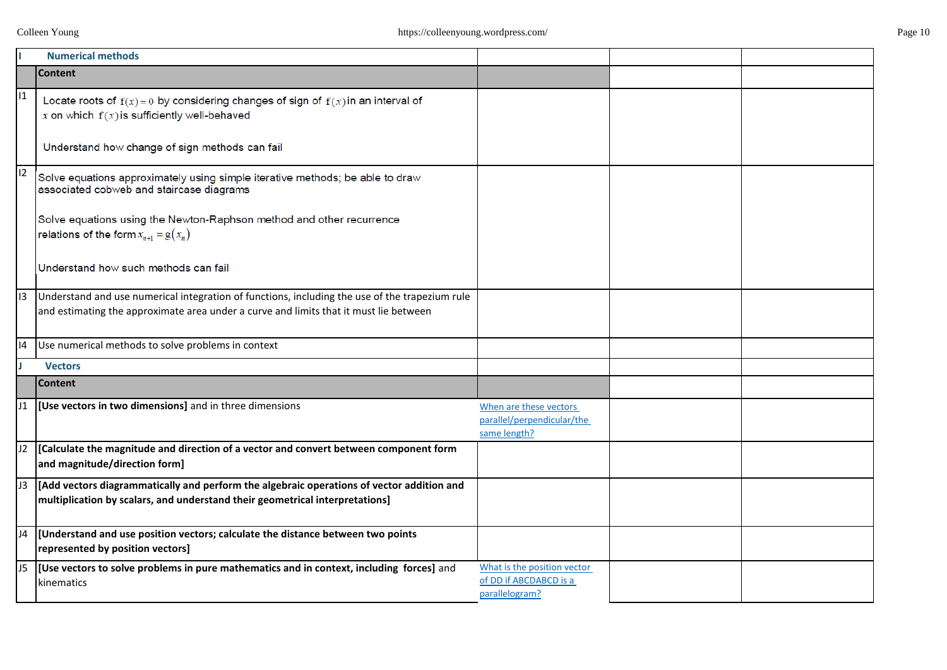|                | <b>Numerical methods</b>                                                                                                                                                                |                                                                         |  |
|----------------|-----------------------------------------------------------------------------------------------------------------------------------------------------------------------------------------|-------------------------------------------------------------------------|--|
|                | <b>Content</b>                                                                                                                                                                          |                                                                         |  |
| I <sub>1</sub> | Locate roots of $f(x) = 0$ by considering changes of sign of $f(x)$ in an interval of<br>x on which $f(x)$ is sufficiently well-behaved                                                 |                                                                         |  |
|                | Understand how change of sign methods can fail                                                                                                                                          |                                                                         |  |
| 12             | Solve equations approximately using simple iterative methods; be able to draw<br>associated cobweb and staircase diagrams                                                               |                                                                         |  |
|                | Solve equations using the Newton-Raphson method and other recurrence<br>relations of the form $x_{n+1} = g(x_n)$                                                                        |                                                                         |  |
|                | Understand how such methods can fail                                                                                                                                                    |                                                                         |  |
| 13             | Understand and use numerical integration of functions, including the use of the trapezium rule<br>and estimating the approximate area under a curve and limits that it must lie between |                                                                         |  |
| 4              | Use numerical methods to solve problems in context                                                                                                                                      |                                                                         |  |
|                | <b>Vectors</b>                                                                                                                                                                          |                                                                         |  |
|                | <b>Content</b>                                                                                                                                                                          |                                                                         |  |
|                | 11  [Use vectors in two dimensions] and in three dimensions                                                                                                                             | When are these vectors<br>parallel/perpendicular/the<br>same length?    |  |
| J2             | [Calculate the magnitude and direction of a vector and convert between component form<br>and magnitude/direction form]                                                                  |                                                                         |  |
| J3             | [Add vectors diagrammatically and perform the algebraic operations of vector addition and<br>multiplication by scalars, and understand their geometrical interpretations]               |                                                                         |  |
| J4             | Understand and use position vectors; calculate the distance between two points<br>represented by position vectors]                                                                      |                                                                         |  |
| J5             | [Use vectors to solve problems in pure mathematics and in context, including forces] and<br>kinematics                                                                                  | What is the position vector<br>of DD if ABCDABCD is a<br>parallelogram? |  |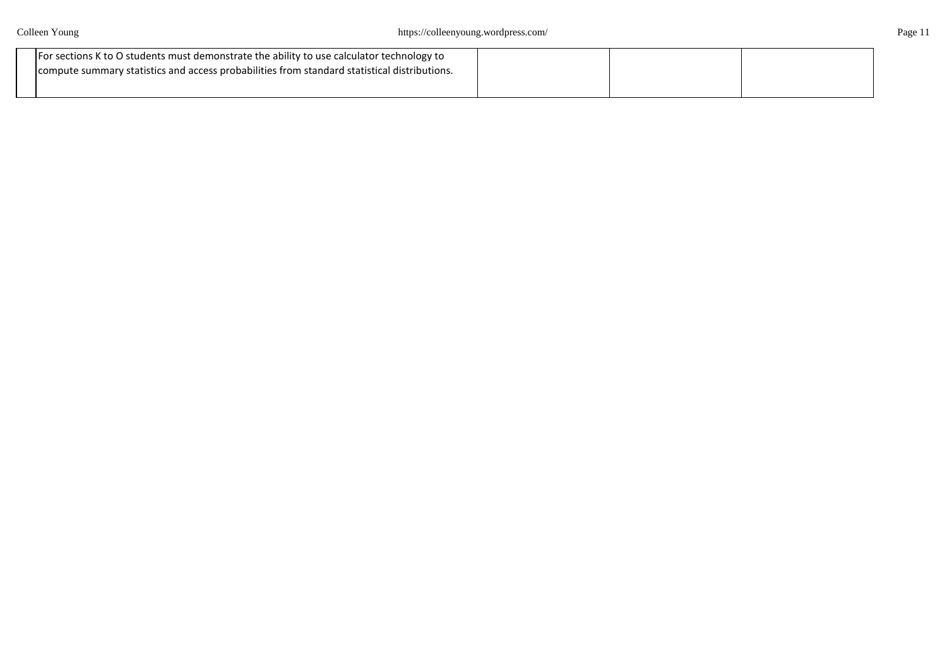| For sections K to O students must demonstrate the ability to use calculator technology to      |  |  |
|------------------------------------------------------------------------------------------------|--|--|
| I compute summary statistics and access probabilities from standard statistical distributions. |  |  |
|                                                                                                |  |  |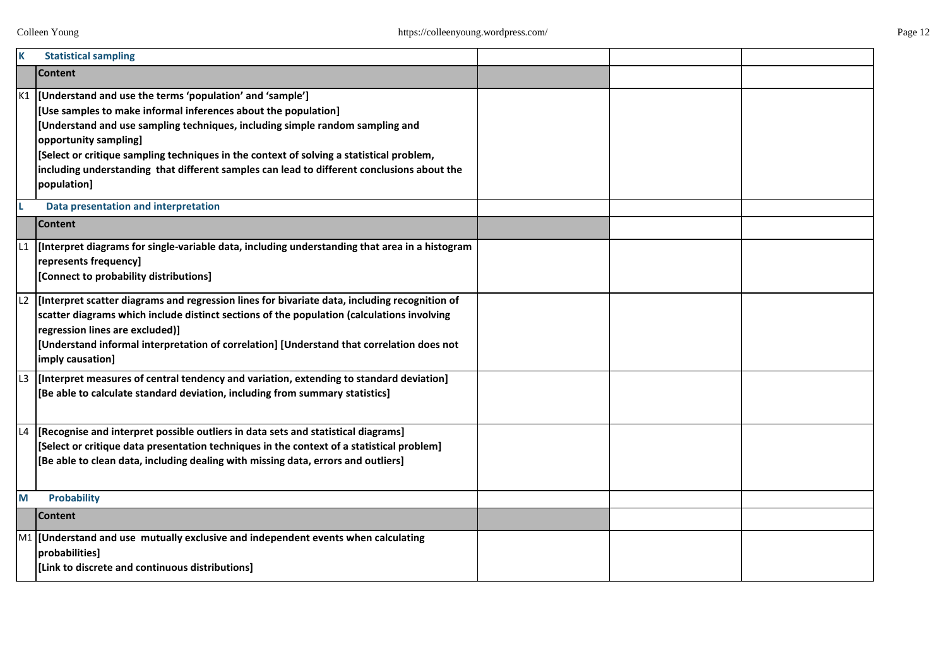| K   | <b>Statistical sampling</b>                                                                                                                                                                                                                                                                                                                                                                                                                       |  |  |
|-----|---------------------------------------------------------------------------------------------------------------------------------------------------------------------------------------------------------------------------------------------------------------------------------------------------------------------------------------------------------------------------------------------------------------------------------------------------|--|--|
|     | <b>Content</b>                                                                                                                                                                                                                                                                                                                                                                                                                                    |  |  |
|     | K1  [Understand and use the terms 'population' and 'sample']<br>[Use samples to make informal inferences about the population]<br>[Understand and use sampling techniques, including simple random sampling and<br>opportunity sampling]<br>[Select or critique sampling techniques in the context of solving a statistical problem,<br>including understanding that different samples can lead to different conclusions about the<br>population] |  |  |
|     | Data presentation and interpretation                                                                                                                                                                                                                                                                                                                                                                                                              |  |  |
|     | <b>Content</b>                                                                                                                                                                                                                                                                                                                                                                                                                                    |  |  |
|     | [Interpret diagrams for single-variable data, including understanding that area in a histogram<br>represents frequency]<br>[Connect to probability distributions]                                                                                                                                                                                                                                                                                 |  |  |
|     | $\lfloor 2 \rfloor$ [Interpret scatter diagrams and regression lines for bivariate data, including recognition of<br>scatter diagrams which include distinct sections of the population (calculations involving<br>regression lines are excluded)]<br>[Understand informal interpretation of correlation] [Understand that correlation does not<br>imply causation]                                                                               |  |  |
| IL3 | [Interpret measures of central tendency and variation, extending to standard deviation]<br>[Be able to calculate standard deviation, including from summary statistics]                                                                                                                                                                                                                                                                           |  |  |
| L4  | [Recognise and interpret possible outliers in data sets and statistical diagrams]<br>[Select or critique data presentation techniques in the context of a statistical problem]<br>[Be able to clean data, including dealing with missing data, errors and outliers]                                                                                                                                                                               |  |  |
| M   | <b>Probability</b>                                                                                                                                                                                                                                                                                                                                                                                                                                |  |  |
|     | <b>Content</b>                                                                                                                                                                                                                                                                                                                                                                                                                                    |  |  |
|     | $\mathsf{M1}$ [Understand and use mutually exclusive and independent events when calculating<br>probabilities]<br>[Link to discrete and continuous distributions]                                                                                                                                                                                                                                                                                 |  |  |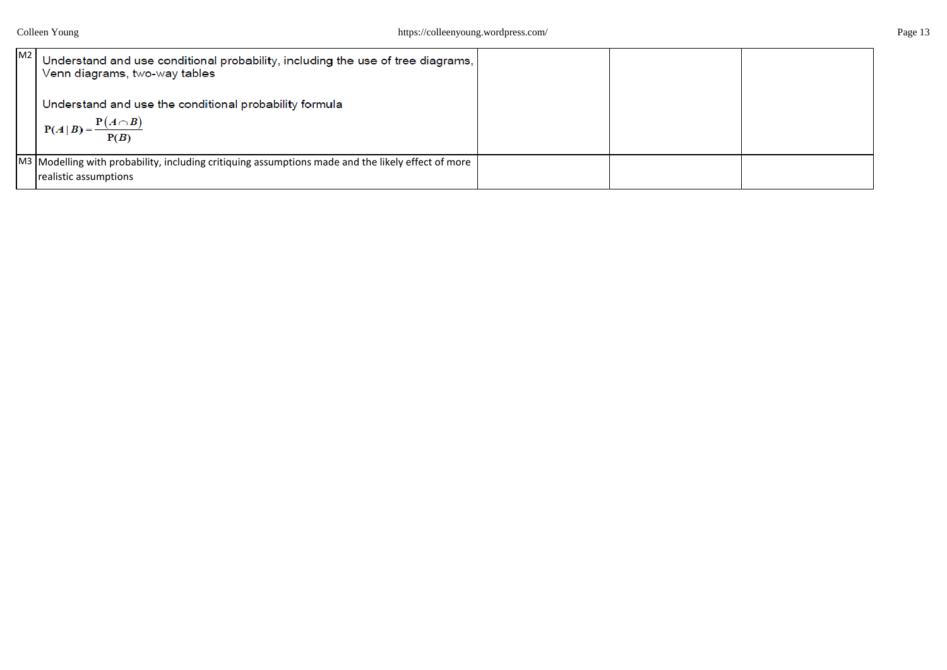| M2 | Understand and use conditional probability, including the use of tree diagrams,<br>Venn diagrams, two-way tables<br>Understand and use the conditional probability formula<br>$P(A   B) = \frac{P(A \cap B)}{P(B)}$ |  |  |
|----|---------------------------------------------------------------------------------------------------------------------------------------------------------------------------------------------------------------------|--|--|
|    |                                                                                                                                                                                                                     |  |  |
|    | M3 Modelling with probability, including critiquing assumptions made and the likely effect of more                                                                                                                  |  |  |
|    | realistic assumptions                                                                                                                                                                                               |  |  |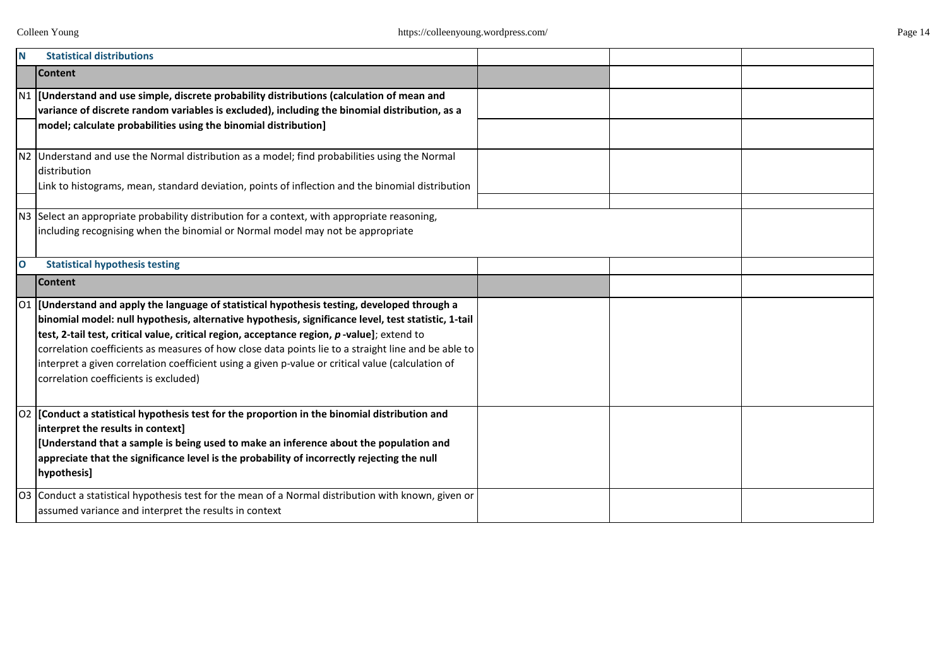| N            | <b>Statistical distributions</b>                                                                                                                                                                                                                                                                                                                                                                                                                                                                                                                                       |  |  |
|--------------|------------------------------------------------------------------------------------------------------------------------------------------------------------------------------------------------------------------------------------------------------------------------------------------------------------------------------------------------------------------------------------------------------------------------------------------------------------------------------------------------------------------------------------------------------------------------|--|--|
|              | <b>Content</b>                                                                                                                                                                                                                                                                                                                                                                                                                                                                                                                                                         |  |  |
|              | $\vert$ N1 $\vert$ [Understand and use simple, discrete probability distributions (calculation of mean and<br>variance of discrete random variables is excluded), including the binomial distribution, as a<br>model; calculate probabilities using the binomial distribution]                                                                                                                                                                                                                                                                                         |  |  |
|              |                                                                                                                                                                                                                                                                                                                                                                                                                                                                                                                                                                        |  |  |
|              | N2 Understand and use the Normal distribution as a model; find probabilities using the Normal<br>distribution<br>Link to histograms, mean, standard deviation, points of inflection and the binomial distribution                                                                                                                                                                                                                                                                                                                                                      |  |  |
|              |                                                                                                                                                                                                                                                                                                                                                                                                                                                                                                                                                                        |  |  |
|              | N3 Select an appropriate probability distribution for a context, with appropriate reasoning,<br>including recognising when the binomial or Normal model may not be appropriate                                                                                                                                                                                                                                                                                                                                                                                         |  |  |
| $\mathbf{o}$ | <b>Statistical hypothesis testing</b>                                                                                                                                                                                                                                                                                                                                                                                                                                                                                                                                  |  |  |
|              | <b>Content</b>                                                                                                                                                                                                                                                                                                                                                                                                                                                                                                                                                         |  |  |
|              | $\vert$ O1 $\vert$ [Understand and apply the language of statistical hypothesis testing, developed through a<br>binomial model: null hypothesis, alternative hypothesis, significance level, test statistic, 1-tail<br>test, 2-tail test, critical value, critical region, acceptance region, p-value]; extend to<br>correlation coefficients as measures of how close data points lie to a straight line and be able to<br>interpret a given correlation coefficient using a given p-value or critical value (calculation of<br>correlation coefficients is excluded) |  |  |
|              | $ 02 $ [Conduct a statistical hypothesis test for the proportion in the binomial distribution and<br>interpret the results in context]<br>[Understand that a sample is being used to make an inference about the population and<br>appreciate that the significance level is the probability of incorrectly rejecting the null<br>hypothesis]                                                                                                                                                                                                                          |  |  |
|              | O3 Conduct a statistical hypothesis test for the mean of a Normal distribution with known, given or<br>assumed variance and interpret the results in context                                                                                                                                                                                                                                                                                                                                                                                                           |  |  |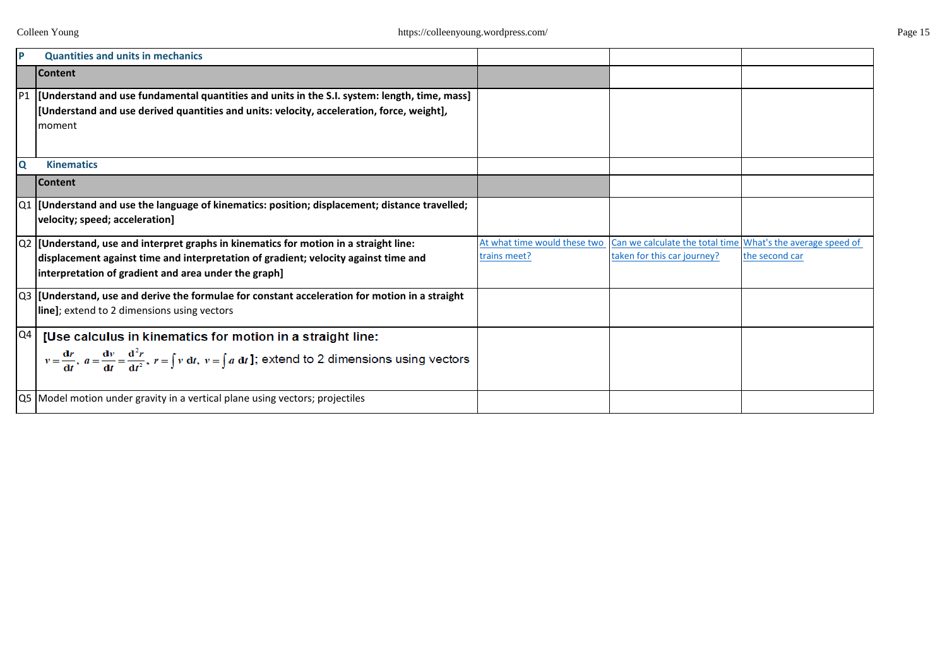| P                       | <b>Quantities and units in mechanics</b>                                                                                                                                                                                                 |                                              |                                                                                            |                |
|-------------------------|------------------------------------------------------------------------------------------------------------------------------------------------------------------------------------------------------------------------------------------|----------------------------------------------|--------------------------------------------------------------------------------------------|----------------|
|                         | <b>Content</b>                                                                                                                                                                                                                           |                                              |                                                                                            |                |
| P <sub>1</sub>          | [Understand and use fundamental quantities and units in the S.I. system: length, time, mass]<br>[Understand and use derived quantities and units: velocity, acceleration, force, weight],<br>moment                                      |                                              |                                                                                            |                |
| $\overline{\mathbf{Q}}$ | <b>Kinematics</b>                                                                                                                                                                                                                        |                                              |                                                                                            |                |
|                         | <b>Content</b>                                                                                                                                                                                                                           |                                              |                                                                                            |                |
|                         | $\vert$ Q1  [Understand and use the language of kinematics: position; displacement; distance travelled;<br>velocity; speed; acceleration]                                                                                                |                                              |                                                                                            |                |
|                         | $ Q2 $ [Understand, use and interpret graphs in kinematics for motion in a straight line:<br>displacement against time and interpretation of gradient; velocity against time and<br>interpretation of gradient and area under the graph] | At what time would these two<br>trains meet? | Can we calculate the total time What's the average speed of<br>taken for this car journey? | the second car |
|                         | $\vert$ Q3  [Understand, use and derive the formulae for constant acceleration for motion in a straight<br>line]; extend to 2 dimensions using vectors                                                                                   |                                              |                                                                                            |                |
| Q4                      | [Use calculus in kinematics for motion in a straight line:<br>$v = \frac{dr}{dt}$ , $a = \frac{dv}{dt} = \frac{d^2r}{dt^2}$ , $r = \int v dt$ , $v = \int a dt$ ]; extend to 2 dimensions using vectors                                  |                                              |                                                                                            |                |
|                         | Q5 Model motion under gravity in a vertical plane using vectors; projectiles                                                                                                                                                             |                                              |                                                                                            |                |